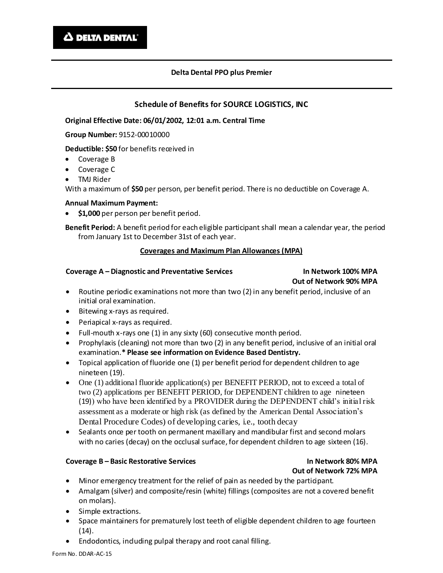### **Delta Dental PPO plus Premier**

### **Schedule of Benefits for SOURCE LOGISTICS, INC**

### **Original Effective Date: 06/01/2002, 12:01 a.m. Central Time**

#### **Group Number:** 9152-00010000

### **Deductible: \$50** for benefits received in

- Coverage B
- Coverage C
- TMJ Rider

With a maximum of **\$50** per person, per benefit period. There is no deductible on Coverage A.

### **Annual Maximum Payment:**

**\$1,000** per person per benefit period.

**Benefit Period:** A benefit period for each eligible participant shall mean a calendar year, the period from January 1st to December 31st of each year.

### **Coverages and Maximum Plan Allowances (MPA)**

### **Coverage A – Diagnostic and Preventative Services In Network 100% MPA**

### **Out of Network 90% MPA**

- Routine periodic examinations not more than two (2) in any benefit period, inclusive of an initial oral examination.
- Bitewing x-rays as required.
- Periapical x-rays as required.
- Full-mouth x-rays one (1) in any sixty (60) consecutive month period.
- Prophylaxis (cleaning) not more than two (2) in any benefit period, inclusive of an initial oral examination.**\* Please see information on Evidence Based Dentistry.**
- Topical application of fluoride one (1) per benefit period for dependent children to age nineteen (19).
- One (1) additional fluoride application(s) per BENEFIT PERIOD, not to exceed a total of two (2) applications per BENEFIT PERIOD, for DEPENDENT children to age nineteen (19)) who have been identified by a PROVIDER during the DEPENDENT child's initial risk assessment as a moderate or high risk (as defined by the American Dental Association's Dental Procedure Codes) of developing caries, i.e., tooth decay
- Sealants once per tooth on permanent maxillary and mandibular first and second molars with no caries (decay) on the occlusal surface, for dependent children to age sixteen (16).

### **Coverage B – Basic Restorative Services In Network 80% MPA**

# **Out of Network 72% MPA**

- Minor emergency treatment for the relief of pain as needed by the participant.
- Amalgam (silver) and composite/resin (white) fillings (composites are not a covered benefit on molars).
- Simple extractions.
- Space maintainers for prematurely lost teeth of eligible dependent children to age fourteen  $(14)$ .
- Endodontics, induding pulpal therapy and root canal filling.